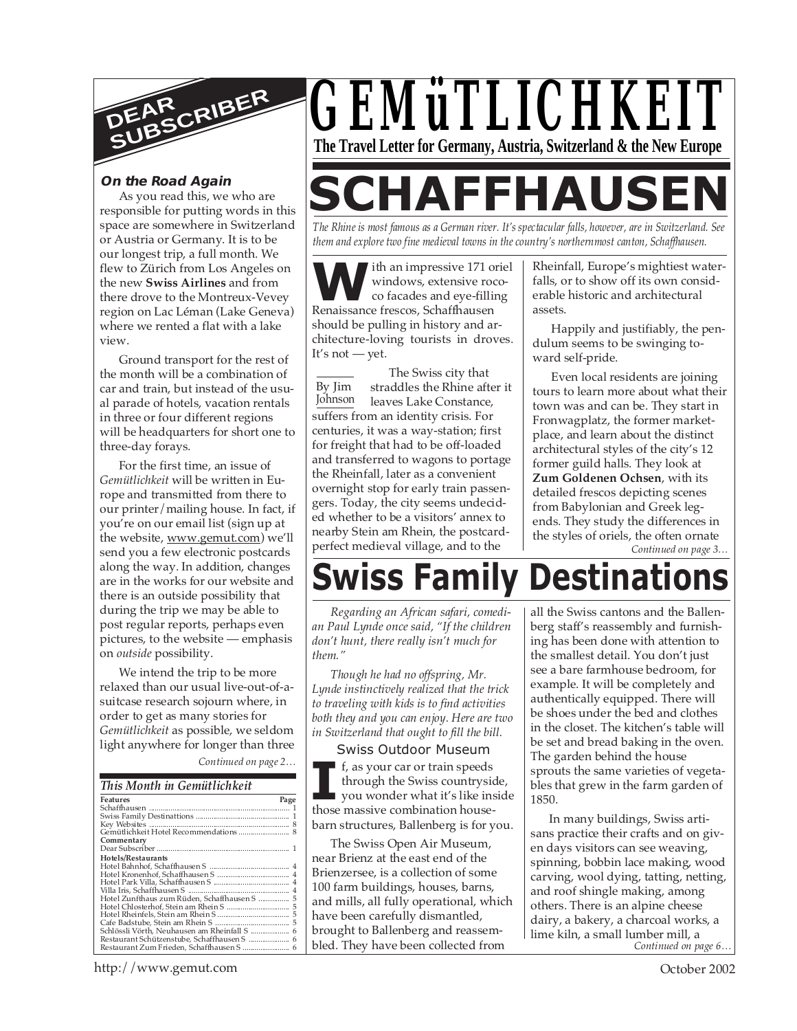

#### **On the Road Again**

As you read this, we who are responsible for putting words in this space are somewhere in Switzerland or Austria or Germany. It is to be our longest trip, a full month. We flew to Zürich from Los Angeles on the new **Swiss Airlines** and from there drove to the Montreux-Vevey region on Lac Léman (Lake Geneva) where we rented a flat with a lake view.

Ground transport for the rest of the month will be a combination of car and train, but instead of the usual parade of hotels, vacation rentals in three or four different regions will be headquarters for short one to three-day forays.

For the first time, an issue of *Gemütlichkeit* will be written in Europe and transmitted from there to our printer/mailing house. In fact, if you're on our email list (sign up at the website, www.gemut.com) we'll send you a few electronic postcards along the way. In addition, changes are in the works for our website and there is an outside possibility that during the trip we may be able to post regular reports, perhaps even pictures, to the website — emphasis on *outside* possibility.

*Continued on page 2…* We intend the trip to be more relaxed than our usual live-out-of-asuitcase research sojourn where, in order to get as many stories for *Gemütlichkeit* as possible, we seldom light anywhere for longer than three

#### *This Month in Gemütlichkeit*

| Features<br>Page                             |
|----------------------------------------------|
|                                              |
|                                              |
|                                              |
|                                              |
| Commentary                                   |
|                                              |
| Hotels/Restaurants                           |
|                                              |
|                                              |
|                                              |
|                                              |
| Hotel Zunfthaus zum Rüden, Schaffhausen S  5 |
|                                              |
|                                              |
|                                              |
|                                              |
| Restaurant Schützenstube, Schaffhausen S  6  |
| Restaurant Zum Frieden, Schaffhausen S  6    |

# *GEMüTLICHKEIT* **The Travel Letter for Germany, Austria, Switzerland & the New Europe**

# **SCHAFFHAUSEN**

*The Rhine is most famous as a German river. It's spectacular falls, however, are in Switzerland. See them and explore two fine medieval towns in the country's northernmost canton, Schaffhausen.*

**WE ARE SERVICE SERVICE SERVICE SERVICE SERVICE SERVICE SERVICE SERVICE SERVICE SERVICE SERVICE SERVICE SERVICE SERVICE SERVICE SERVICE SERVICE SERVICE SERVICE SERVICE SERVICE SERVICE SERVICE SERVICE SERVICE SERVICE SERVIC** ith an impressive 171 oriel windows, extensive rococo facades and eye-filling should be pulling in history and architecture-loving tourists in droves. It's not — yet.

By Jim Johnson The Swiss city that straddles the Rhine after it leaves Lake Constance, suffers from an identity crisis. For centuries, it was a way-station; first for freight that had to be off-loaded and transferred to wagons to portage the Rheinfall, later as a convenient overnight stop for early train passengers. Today, the city seems undecided whether to be a visitors' annex to nearby Stein am Rhein, the postcardperfect medieval village, and to the

Rheinfall, Europe's mightiest waterfalls, or to show off its own considerable historic and architectural assets.

Happily and justifiably, the pendulum seems to be swinging toward self-pride.

*Continued on page 3…* Even local residents are joining tours to learn more about what their town was and can be. They start in Fronwagplatz, the former marketplace, and learn about the distinct architectural styles of the city's 12 former guild halls. They look at **Zum Goldenen Ochsen**, with its detailed frescos depicting scenes from Babylonian and Greek legends. They study the differences in the styles of oriels, the often ornate

# **Swiss Family Destinati**

*Regarding an African safari, comedian Paul Lynde once said, "If the children don't hunt, there really isn't much for them."*

*Though he had no offspring, Mr. Lynde instinctively realized that the trick to traveling with kids is to find activities both they and you can enjoy. Here are two in Switzerland that ought to fill the bill.*

#### Swiss Outdoor Museum

**I**, as your car or train speeds through the Swiss countrysic you wonder what it's like insthuse massive combination housef, as your car or train speeds through the Swiss countryside, you wonder what it's like inside barn structures, Ballenberg is for you.

The Swiss Open Air Museum, near Brienz at the east end of the Brienzersee, is a collection of some 100 farm buildings, houses, barns, and mills, all fully operational, which have been carefully dismantled, brought to Ballenberg and reassembled. They have been collected from

all the Swiss cantons and the Ballenberg staff's reassembly and furnishing has been done with attention to the smallest detail. You don't just see a bare farmhouse bedroom, for example. It will be completely and authentically equipped. There will be shoes under the bed and clothes in the closet. The kitchen's table will be set and bread baking in the oven. The garden behind the house sprouts the same varieties of vegetables that grew in the farm garden of 1850.

*Continued on page 6…* In many buildings, Swiss artisans practice their crafts and on given days visitors can see weaving, spinning, bobbin lace making, wood carving, wool dying, tatting, netting, and roof shingle making, among others. There is an alpine cheese dairy, a bakery, a charcoal works, a lime kiln, a small lumber mill, a

http://www.gemut.com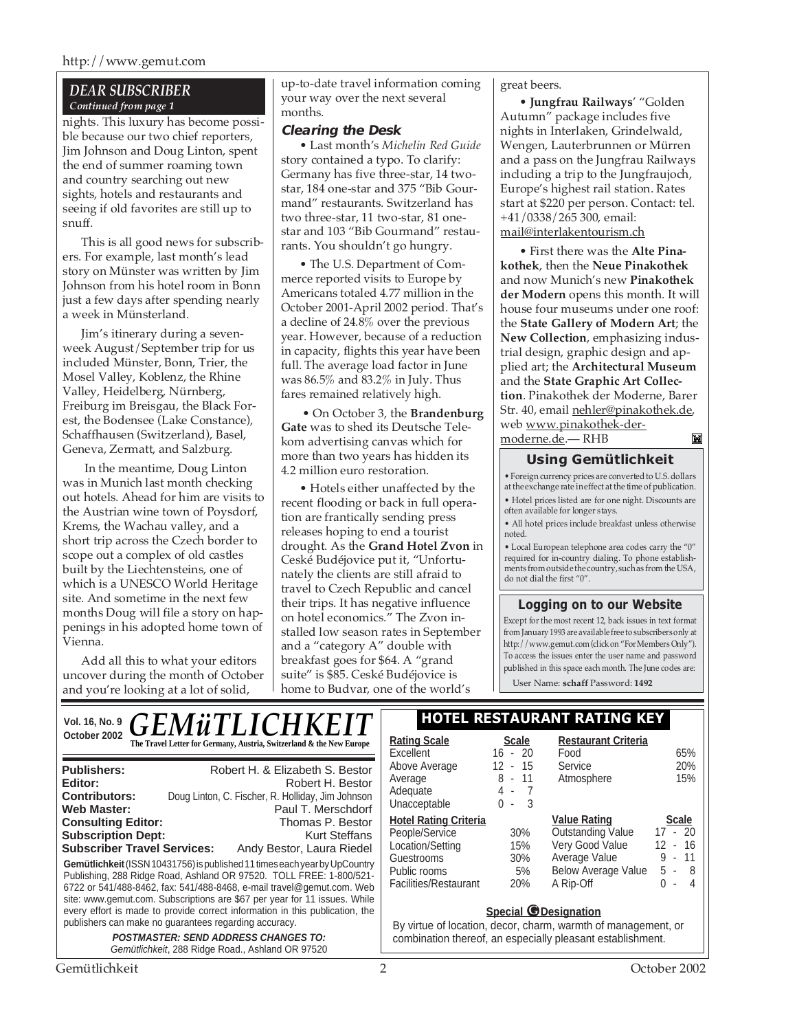### *DEAR SUBSCRIBER Continued from page 1*

nights. This luxury has become possible because our two chief reporters, Jim Johnson and Doug Linton, spent the end of summer roaming town and country searching out new sights, hotels and restaurants and seeing if old favorites are still up to snuff.

This is all good news for subscribers. For example, last month's lead story on Münster was written by Jim Johnson from his hotel room in Bonn just a few days after spending nearly a week in Münsterland.

Jim's itinerary during a sevenweek August/September trip for us included Münster, Bonn, Trier, the Mosel Valley, Koblenz, the Rhine Valley, Heidelberg, Nürnberg, Freiburg im Breisgau, the Black Forest, the Bodensee (Lake Constance), Schaffhausen (Switzerland), Basel, Geneva, Zermatt, and Salzburg.

 In the meantime, Doug Linton was in Munich last month checking out hotels. Ahead for him are visits to the Austrian wine town of Poysdorf, Krems, the Wachau valley, and a short trip across the Czech border to scope out a complex of old castles built by the Liechtensteins, one of which is a UNESCO World Heritage site. And sometime in the next few months Doug will file a story on happenings in his adopted home town of Vienna.

Add all this to what your editors uncover during the month of October and you're looking at a lot of solid,

up-to-date travel information coming your way over the next several months.

#### **Clearing the Desk**

• Last month's *Michelin Red Guide* story contained a typo. To clarify: Germany has five three-star, 14 twostar, 184 one-star and 375 "Bib Gourmand" restaurants. Switzerland has two three-star, 11 two-star, 81 onestar and 103 "Bib Gourmand" restaurants. You shouldn't go hungry.

• The U.S. Department of Commerce reported visits to Europe by Americans totaled 4.77 million in the October 2001-April 2002 period. That's a decline of 24.8% over the previous year. However, because of a reduction in capacity, flights this year have been full. The average load factor in June was 86.5% and 83.2% in July. Thus fares remained relatively high.

 • On October 3, the **Brandenburg Gate** was to shed its Deutsche Telekom advertising canvas which for more than two years has hidden its 4.2 million euro restoration.

• Hotels either unaffected by the recent flooding or back in full operation are frantically sending press releases hoping to end a tourist drought. As the **Grand Hotel Zvon** in Ceské Budéjovice put it, "Unfortunately the clients are still afraid to travel to Czech Republic and cancel their trips. It has negative influence on hotel economics." The Zvon installed low season rates in September and a "category A" double with breakfast goes for \$64. A "grand suite" is \$85. Ceské Budéjovice is home to Budvar, one of the world's

great beers.

• **Jungfrau Railways**' "Golden Autumn" package includes five nights in Interlaken, Grindelwald, Wengen, Lauterbrunnen or Mürren and a pass on the Jungfrau Railways including a trip to the Jungfraujoch, Europe's highest rail station. Rates start at \$220 per person. Contact: tel. +41/0338/265 300, email: mail@interlakentourism.ch

• First there was the **Alte Pinakothek**, then the **Neue Pinakothek** and now Munich's new **Pinakothek der Modern** opens this month. It will house four museums under one roof: the **State Gallery of Modern Art**; the **New Collection**, emphasizing industrial design, graphic design and applied art; the **Architectural Museum** and the **State Graphic Art Collection**. Pinakothek der Moderne, Barer Str. 40, email nehler@pinakothek.de, web www.pinakothek-der-

moderne.de.— RHB

#### **IN**

### **Using Gemütlichkeit**

• Foreign currency prices are converted to U.S. dollars at the exchange rate in effect at the time of publication. • Hotel prices listed are for one night. Discounts are often available for longer stays.

• All hotel prices include breakfast unless otherwise noted.

• Local European telephone area codes carry the "0" required for in-country dialing. To phone establishments from outside the country, such as from the USA, do not dial the first "0".

#### **Logging on to our Website**

Except for the most recent 12, back issues in text format from January 1993 are available free to subscribers only at http://www.gemut.com (click on "For Members Only"). To access the issues enter the user name and password published in this space each month. The June codes are:

User Name: **schaff** Password: **1492**

| Vol. 16, No. 9                                                                               | <i><b>GEMüTLICHKEIT</b></i>                                                                                                                                                                                                                                                                                                                                                      | I HOTEL RESTAURANT RATING KEY                                                                                                                              |                                              |                                                                                                                  |                                                                          |
|----------------------------------------------------------------------------------------------|----------------------------------------------------------------------------------------------------------------------------------------------------------------------------------------------------------------------------------------------------------------------------------------------------------------------------------------------------------------------------------|------------------------------------------------------------------------------------------------------------------------------------------------------------|----------------------------------------------|------------------------------------------------------------------------------------------------------------------|--------------------------------------------------------------------------|
| October 2002                                                                                 | The Travel Letter for Germany, Austria, Switzerland & the New Europe                                                                                                                                                                                                                                                                                                             | <b>Rating Scale</b><br>Excellent                                                                                                                           | <b>Scale</b><br>$16 - 20$                    | <b>Restaurant Criteria</b><br>Food                                                                               | 65%                                                                      |
| <b>Publishers:</b><br>Editor:<br><b>Contributors:</b><br><b>Web Master:</b>                  | Robert H. & Elizabeth S. Bestor<br>Robert H. Bestor<br>Doug Linton, C. Fischer, R. Holliday, Jim Johnson<br>Paul T. Merschdorf                                                                                                                                                                                                                                                   | Above Average<br>Average<br>Adequate<br>Unacceptable                                                                                                       | $12 - 15$<br>$8 - 11$<br>4 -<br>$0 -$<br>- 3 | Service<br>Atmosphere                                                                                            | 20%<br>15%                                                               |
| <b>Consulting Editor:</b><br><b>Subscription Dept:</b><br><b>Subscriber Travel Services:</b> | Thomas P. Bestor<br><b>Kurt Steffans</b><br>Andy Bestor, Laura Riedel<br>Gemütlichkeit (ISSN 10431756) is published 11 times each year by UpCountry<br>Publishing, 288 Ridge Road, Ashland OR 97520. TOLL FREE: 1-800/521-<br>6722 or 541/488-8462, fax: 541/488-8468, e-mail travel@gemut.com. Web<br>site: www.gemut.com. Subscriptions are \$67 per year for 11 issues. While | <b>Hotel Rating Criteria</b><br>People/Service<br>Location/Setting<br>Guestrooms<br>Public rooms<br>Facilities/Restaurant                                  | 30%<br>15%<br>30%<br>5%<br>20%               | <b>Value Rating</b><br>Outstanding Value<br>Very Good Value<br>Average Value<br>Below Average Value<br>A Rip-Off | <b>Scale</b><br>$17 - 20$<br>$12 - 16$<br>$9 - 11$<br>$5 - 8$<br>$0 - 4$ |
|                                                                                              | every effort is made to provide correct information in this publication, the<br>publishers can make no guarantees regarding accuracy.<br><b>POSTMASTER: SEND ADDRESS CHANGES TO:</b><br>Gemütlichkeit, 288 Ridge Road., Ashland OR 97520                                                                                                                                         | <b>Special @Designation</b><br>By virtue of location, decor, charm, warmth of management, or<br>combination thereof, an especially pleasant establishment. |                                              |                                                                                                                  |                                                                          |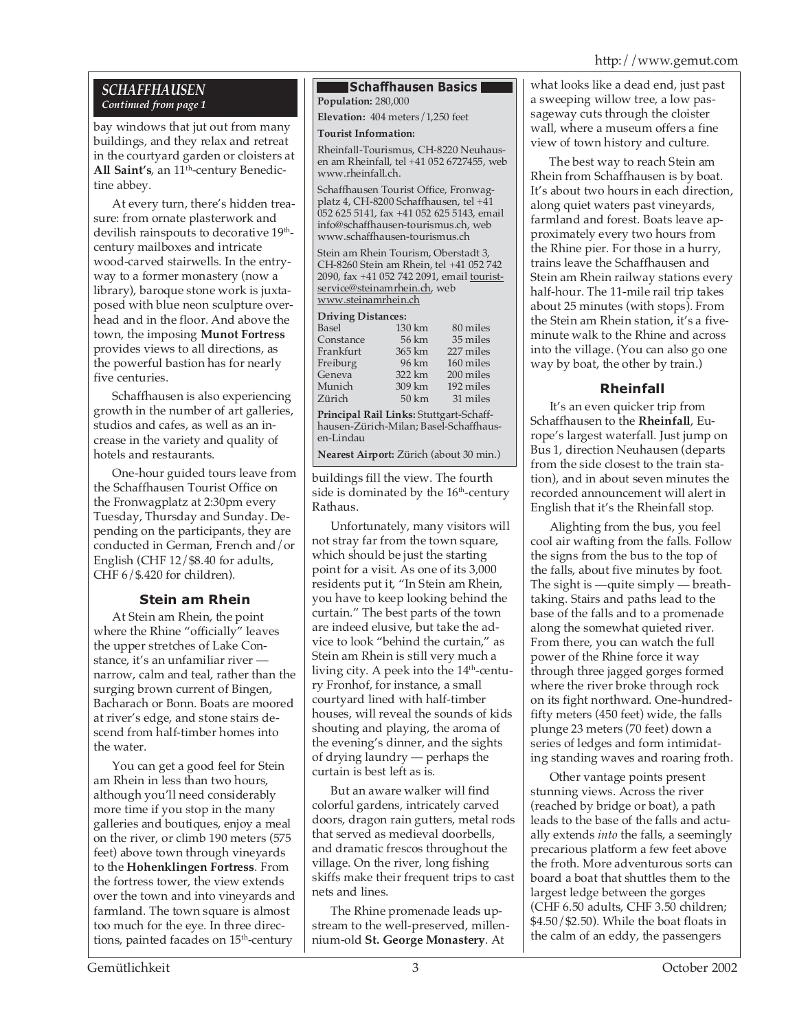## *SCHAFFHAUSEN Continued from page 1*

bay windows that jut out from many buildings, and they relax and retreat in the courtyard garden or cloisters at All Saint's, an 11<sup>th</sup>-century Benedictine abbey.

At every turn, there's hidden treasure: from ornate plasterwork and devilish rainspouts to decorative 19<sup>th</sup>century mailboxes and intricate wood-carved stairwells. In the entryway to a former monastery (now a library), baroque stone work is juxtaposed with blue neon sculpture overhead and in the floor. And above the town, the imposing **Munot Fortress** provides views to all directions, as the powerful bastion has for nearly five centuries.

Schaffhausen is also experiencing growth in the number of art galleries, studios and cafes, as well as an increase in the variety and quality of hotels and restaurants.

One-hour guided tours leave from the Schaffhausen Tourist Office on the Fronwagplatz at 2:30pm every Tuesday, Thursday and Sunday. Depending on the participants, they are conducted in German, French and/or English (CHF 12/\$8.40 for adults, CHF 6/\$.420 for children).

# **Stein am Rhein**

At Stein am Rhein, the point where the Rhine "officially" leaves the upper stretches of Lake Constance, it's an unfamiliar river narrow, calm and teal, rather than the surging brown current of Bingen, Bacharach or Bonn. Boats are moored at river's edge, and stone stairs descend from half-timber homes into the water.

You can get a good feel for Stein am Rhein in less than two hours, although you'll need considerably more time if you stop in the many galleries and boutiques, enjoy a meal on the river, or climb 190 meters (575 feet) above town through vineyards to the **Hohenklingen Fortress**. From the fortress tower, the view extends over the town and into vineyards and farmland. The town square is almost too much for the eye. In three directions, painted facades on 15<sup>th</sup>-century

#### **Schaffhausen Basics Population:** 280,000

**Elevation:** 404 meters/1,250 feet

### **Tourist Information:**

Rheinfall-Tourismus, CH-8220 Neuhausen am Rheinfall, tel +41 052 6727455, web www.rheinfall.ch.

Schaffhausen Tourist Office, Fronwagplatz 4, CH-8200 Schaffhausen, tel +41 052 625 5141, fax +41 052 625 5143, email info@schaffhausen-tourismus.ch, web www.schaffhausen-tourismus.ch

Stein am Rhein Tourism, Oberstadt 3, CH-8260 Stein am Rhein, tel +41 052 742 2090, fax +41 052 742 2091, email touristservice@steinamrhein.ch, web www.steinamrhein.ch

### **Driving Distances:**

| Driving Distances:                                                                                         |                  |           |  |  |  |  |
|------------------------------------------------------------------------------------------------------------|------------------|-----------|--|--|--|--|
| Basel                                                                                                      | 130 km           | 80 miles  |  |  |  |  |
| Constance                                                                                                  | 56 km            | 35 miles  |  |  |  |  |
| Frankfurt                                                                                                  | 365 km           | 227 miles |  |  |  |  |
| Freiburg                                                                                                   | 96 km            | 160 miles |  |  |  |  |
| Geneva                                                                                                     | 322 km           | 200 miles |  |  |  |  |
| Munich                                                                                                     | 309 km           | 192 miles |  |  |  |  |
| Zürich                                                                                                     | $50 \mathrm{km}$ | 31 miles  |  |  |  |  |
| Principal Rail Links: Stuttgart-Schaff-<br>$1 \quad 7 \cdot 1 \cdot 1 \cdot 1$ $D \cdot 1 \cdot 1 \cdot 1$ |                  |           |  |  |  |  |
|                                                                                                            |                  |           |  |  |  |  |

hausen-Zürich-Milan; Basel-Schaffhausen-Lindau **Nearest Airport:** Zürich (about 30 min.)

buildings fill the view. The fourth side is dominated by the  $16<sup>th</sup>$ -century Rathaus.

Unfortunately, many visitors will not stray far from the town square, which should be just the starting point for a visit. As one of its 3,000 residents put it, "In Stein am Rhein, you have to keep looking behind the curtain." The best parts of the town are indeed elusive, but take the advice to look "behind the curtain," as Stein am Rhein is still very much a living city. A peek into the 14<sup>th</sup>-century Fronhof, for instance, a small courtyard lined with half-timber houses, will reveal the sounds of kids shouting and playing, the aroma of the evening's dinner, and the sights of drying laundry — perhaps the curtain is best left as is.

But an aware walker will find colorful gardens, intricately carved doors, dragon rain gutters, metal rods that served as medieval doorbells, and dramatic frescos throughout the village. On the river, long fishing skiffs make their frequent trips to cast nets and lines.

The Rhine promenade leads upstream to the well-preserved, millennium-old **St. George Monastery**. At

what looks like a dead end, just past a sweeping willow tree, a low passageway cuts through the cloister wall, where a museum offers a fine view of town history and culture.

The best way to reach Stein am Rhein from Schaffhausen is by boat. It's about two hours in each direction, along quiet waters past vineyards, farmland and forest. Boats leave approximately every two hours from the Rhine pier. For those in a hurry, trains leave the Schaffhausen and Stein am Rhein railway stations every half-hour. The 11-mile rail trip takes about 25 minutes (with stops). From the Stein am Rhein station, it's a fiveminute walk to the Rhine and across into the village. (You can also go one way by boat, the other by train.)

## **Rheinfall**

It's an even quicker trip from Schaffhausen to the **Rheinfall**, Europe's largest waterfall. Just jump on Bus 1, direction Neuhausen (departs from the side closest to the train station), and in about seven minutes the recorded announcement will alert in English that it's the Rheinfall stop.

Alighting from the bus, you feel cool air wafting from the falls. Follow the signs from the bus to the top of the falls, about five minutes by foot. The sight is —quite simply — breathtaking. Stairs and paths lead to the base of the falls and to a promenade along the somewhat quieted river. From there, you can watch the full power of the Rhine force it way through three jagged gorges formed where the river broke through rock on its fight northward. One-hundredfifty meters (450 feet) wide, the falls plunge 23 meters (70 feet) down a series of ledges and form intimidating standing waves and roaring froth.

Other vantage points present stunning views. Across the river (reached by bridge or boat), a path leads to the base of the falls and actually extends *into* the falls, a seemingly precarious platform a few feet above the froth. More adventurous sorts can board a boat that shuttles them to the largest ledge between the gorges (CHF 6.50 adults, CHF 3.50 children; \$4.50/\$2.50). While the boat floats in the calm of an eddy, the passengers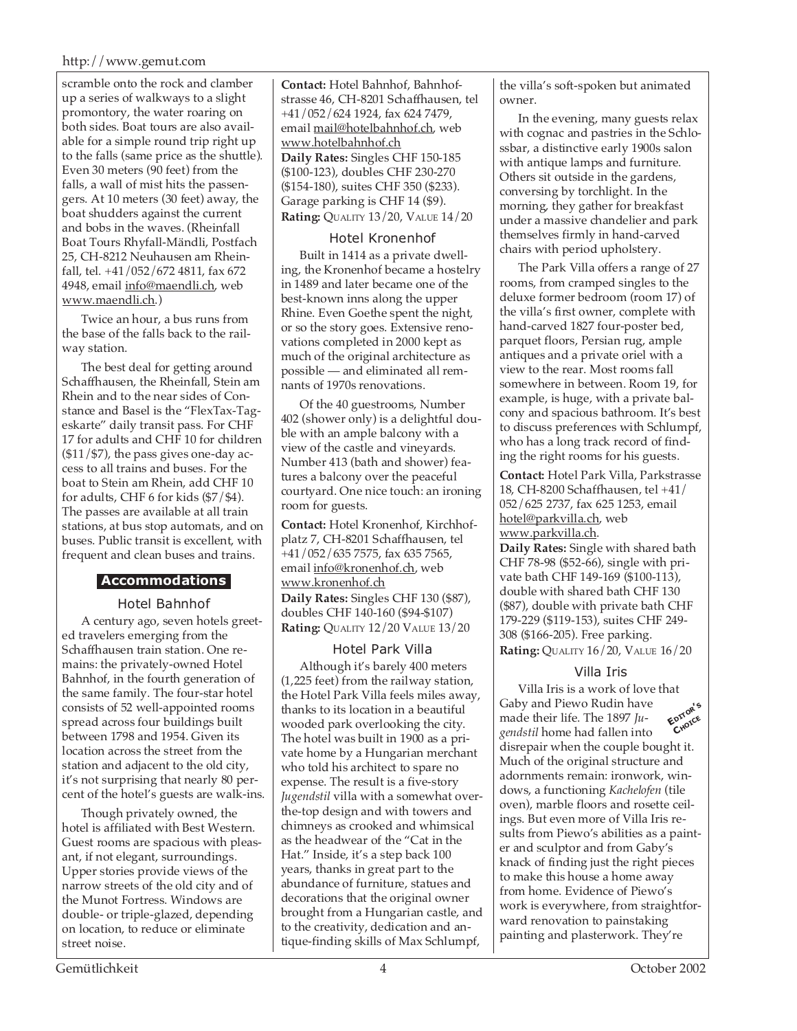#### http://www.gemut.com

scramble onto the rock and clamber up a series of walkways to a slight promontory, the water roaring on both sides. Boat tours are also available for a simple round trip right up to the falls (same price as the shuttle). Even 30 meters (90 feet) from the falls, a wall of mist hits the passengers. At 10 meters (30 feet) away, the boat shudders against the current and bobs in the waves. (Rheinfall Boat Tours Rhyfall-Mändli, Postfach 25, CH-8212 Neuhausen am Rheinfall, tel. +41/052/672 4811, fax 672 4948, email info@maendli.ch, web www.maendli.ch.)

Twice an hour, a bus runs from the base of the falls back to the railway station.

The best deal for getting around Schaffhausen, the Rheinfall, Stein am Rhein and to the near sides of Constance and Basel is the "FlexTax-Tageskarte" daily transit pass. For CHF 17 for adults and CHF 10 for children  $($11/$7)$ , the pass gives one-day access to all trains and buses. For the boat to Stein am Rhein, add CHF 10 for adults, CHF 6 for kids (\$7/\$4). The passes are available at all train stations, at bus stop automats, and on buses. Public transit is excellent, with frequent and clean buses and trains.

## **Accommodations**

#### Hotel Bahnhof

A century ago, seven hotels greeted travelers emerging from the Schaffhausen train station. One remains: the privately-owned Hotel Bahnhof, in the fourth generation of the same family. The four-star hotel consists of 52 well-appointed rooms spread across four buildings built between 1798 and 1954. Given its location across the street from the station and adjacent to the old city, it's not surprising that nearly 80 percent of the hotel's guests are walk-ins.

Though privately owned, the hotel is affiliated with Best Western. Guest rooms are spacious with pleasant, if not elegant, surroundings. Upper stories provide views of the narrow streets of the old city and of the Munot Fortress. Windows are double- or triple-glazed, depending on location, to reduce or eliminate street noise.

**Contact:** Hotel Bahnhof, Bahnhofstrasse 46, CH-8201 Schaffhausen, tel +41/052/624 1924, fax 624 7479, email mail@hotelbahnhof.ch, web www.hotelbahnhof.ch **Daily Rates:** Singles CHF 150-185 (\$100-123), doubles CHF 230-270 (\$154-180), suites CHF 350 (\$233). Garage parking is CHF 14 (\$9). **Rating:** QUALITY 13/20, VALUE 14/20

#### Hotel Kronenhof

Built in 1414 as a private dwelling, the Kronenhof became a hostelry in 1489 and later became one of the best-known inns along the upper Rhine. Even Goethe spent the night, or so the story goes. Extensive renovations completed in 2000 kept as much of the original architecture as possible — and eliminated all remnants of 1970s renovations.

Of the 40 guestrooms, Number 402 (shower only) is a delightful double with an ample balcony with a view of the castle and vineyards. Number 413 (bath and shower) features a balcony over the peaceful courtyard. One nice touch: an ironing room for guests.

**Contact:** Hotel Kronenhof, Kirchhofplatz 7, CH-8201 Schaffhausen, tel +41/052/635 7575, fax 635 7565, email info@kronenhof.ch, web www.kronenhof.ch **Daily Rates:** Singles CHF 130 (\$87), doubles CHF 140-160 (\$94-\$107) **Rating:** QUALITY 12/20 VALUE 13/20

#### Hotel Park Villa

Although it's barely 400 meters (1,225 feet) from the railway station, the Hotel Park Villa feels miles away, thanks to its location in a beautiful wooded park overlooking the city. The hotel was built in 1900 as a private home by a Hungarian merchant who told his architect to spare no expense. The result is a five-story *Jugendstil* villa with a somewhat overthe-top design and with towers and chimneys as crooked and whimsical as the headwear of the "Cat in the Hat." Inside, it's a step back 100 years, thanks in great part to the abundance of furniture, statues and decorations that the original owner brought from a Hungarian castle, and to the creativity, dedication and antique-finding skills of Max Schlumpf,

the villa's soft-spoken but animated owner.

In the evening, many guests relax with cognac and pastries in the Schlossbar, a distinctive early 1900s salon with antique lamps and furniture. Others sit outside in the gardens, conversing by torchlight. In the morning, they gather for breakfast under a massive chandelier and park themselves firmly in hand-carved chairs with period upholstery.

The Park Villa offers a range of 27 rooms, from cramped singles to the deluxe former bedroom (room 17) of the villa's first owner, complete with hand-carved 1827 four-poster bed, parquet floors, Persian rug, ample antiques and a private oriel with a view to the rear. Most rooms fall somewhere in between. Room 19, for example, is huge, with a private balcony and spacious bathroom. It's best to discuss preferences with Schlumpf, who has a long track record of finding the right rooms for his guests.

**Contact:** Hotel Park Villa, Parkstrasse 18, CH-8200 Schaffhausen, tel +41/ 052/625 2737, fax 625 1253, email hotel@parkvilla.ch, web www.parkvilla.ch.

**Daily Rates:** Single with shared bath CHF 78-98 (\$52-66), single with private bath CHF 149-169 (\$100-113), double with shared bath CHF 130 (\$87), double with private bath CHF 179-229 (\$119-153), suites CHF 249- 308 (\$166-205). Free parking. **Rating:** QUALITY 16/20, VALUE 16/20

#### Villa Iris

Villa Iris is a work of love that Gaby and Piewo Rudin have made their life. The 1897 *Jugendstil* home had fallen into disrepair when the couple bought it. Much of the original structure and adornments remain: ironwork, windows, a functioning *Kachelofen* (tile oven), marble floors and rosette ceilings. But even more of Villa Iris results from Piewo's abilities as a painter and sculptor and from Gaby's knack of finding just the right pieces to make this house a home away from home. Evidence of Piewo's work is everywhere, from straightforward renovation to painstaking painting and plasterwork. They're **EDITOR'<sup>S</sup> CHOICE**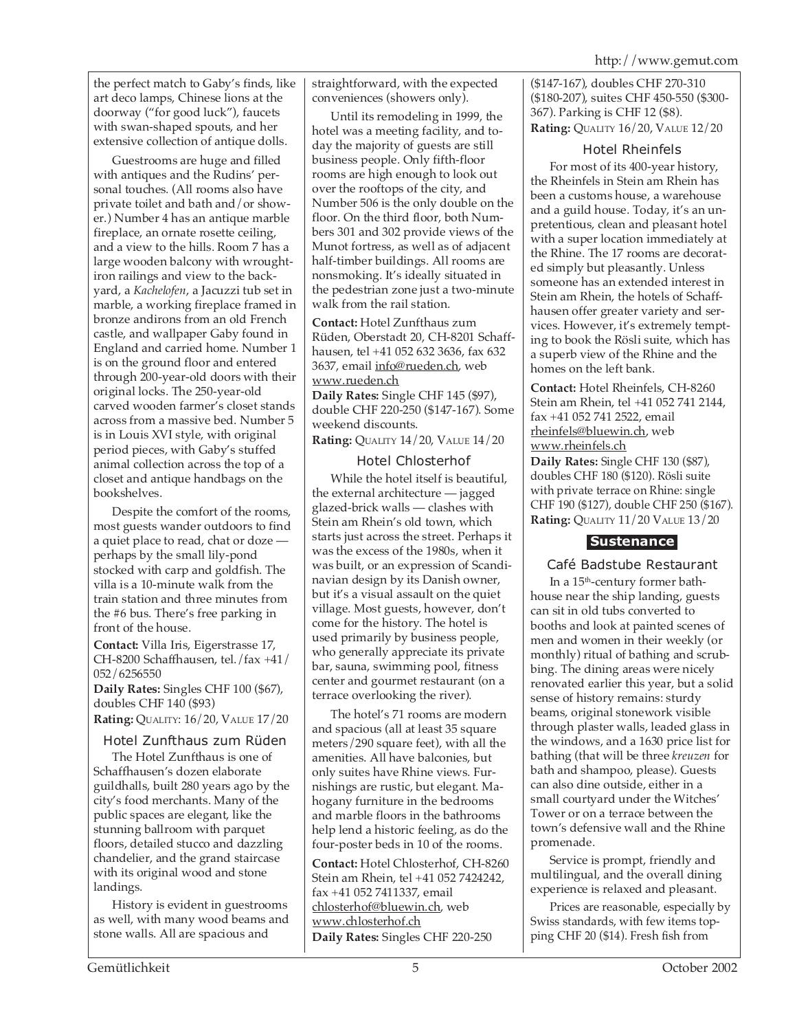the perfect match to Gaby's finds, like art deco lamps, Chinese lions at the doorway ("for good luck"), faucets with swan-shaped spouts, and her extensive collection of antique dolls.

Guestrooms are huge and filled with antiques and the Rudins' personal touches. (All rooms also have private toilet and bath and/or shower.) Number 4 has an antique marble fireplace, an ornate rosette ceiling, and a view to the hills. Room 7 has a large wooden balcony with wroughtiron railings and view to the backyard, a *Kachelofen*, a Jacuzzi tub set in marble, a working fireplace framed in bronze andirons from an old French castle, and wallpaper Gaby found in England and carried home. Number 1 is on the ground floor and entered through 200-year-old doors with their original locks. The 250-year-old carved wooden farmer's closet stands across from a massive bed. Number 5 is in Louis XVI style, with original period pieces, with Gaby's stuffed animal collection across the top of a closet and antique handbags on the bookshelves.

Despite the comfort of the rooms, most guests wander outdoors to find a quiet place to read, chat or doze perhaps by the small lily-pond stocked with carp and goldfish. The villa is a 10-minute walk from the train station and three minutes from the #6 bus. There's free parking in front of the house.

**Contact:** Villa Iris, Eigerstrasse 17, CH-8200 Schaffhausen, tel./fax +41/ 052/6256550

**Daily Rates:** Singles CHF 100 (\$67), doubles CHF 140 (\$93) **Rating:** QUALITY: 16/20, VALUE 17/20

## Hotel Zunfthaus zum Rüden

The Hotel Zunfthaus is one of Schaffhausen's dozen elaborate guildhalls, built 280 years ago by the city's food merchants. Many of the public spaces are elegant, like the stunning ballroom with parquet floors, detailed stucco and dazzling chandelier, and the grand staircase with its original wood and stone landings.

History is evident in guestrooms as well, with many wood beams and stone walls. All are spacious and

straightforward, with the expected conveniences (showers only).

Until its remodeling in 1999, the hotel was a meeting facility, and today the majority of guests are still business people. Only fifth-floor rooms are high enough to look out over the rooftops of the city, and Number 506 is the only double on the floor. On the third floor, both Numbers 301 and 302 provide views of the Munot fortress, as well as of adjacent half-timber buildings. All rooms are nonsmoking. It's ideally situated in the pedestrian zone just a two-minute walk from the rail station.

**Contact:** Hotel Zunfthaus zum Rüden, Oberstadt 20, CH-8201 Schaffhausen, tel +41 052 632 3636, fax 632 3637, email info@rueden.ch, web www.rueden.ch

**Daily Rates:** Single CHF 145 (\$97), double CHF 220-250 (\$147-167). Some weekend discounts.

**Rating:** QUALITY 14/20, VALUE 14/20

## Hotel Chlosterhof

While the hotel itself is beautiful, the external architecture — jagged glazed-brick walls — clashes with Stein am Rhein's old town, which starts just across the street. Perhaps it was the excess of the 1980s, when it was built, or an expression of Scandinavian design by its Danish owner, but it's a visual assault on the quiet village. Most guests, however, don't come for the history. The hotel is used primarily by business people, who generally appreciate its private bar, sauna, swimming pool, fitness center and gourmet restaurant (on a terrace overlooking the river).

The hotel's 71 rooms are modern and spacious (all at least 35 square meters/290 square feet), with all the amenities. All have balconies, but only suites have Rhine views. Furnishings are rustic, but elegant. Mahogany furniture in the bedrooms and marble floors in the bathrooms help lend a historic feeling, as do the four-poster beds in 10 of the rooms.

**Contact:** Hotel Chlosterhof, CH-8260 Stein am Rhein, tel +41 052 7424242, fax +41 052 7411337, email chlosterhof@bluewin.ch, web www.chlosterhof.ch **Daily Rates:** Singles CHF 220-250

(\$147-167), doubles CHF 270-310 (\$180-207), suites CHF 450-550 (\$300- 367). Parking is CHF 12 (\$8). **Rating:** QUALITY 16/20, VALUE 12/20

#### Hotel Rheinfels

For most of its 400-year history, the Rheinfels in Stein am Rhein has been a customs house, a warehouse and a guild house. Today, it's an unpretentious, clean and pleasant hotel with a super location immediately at the Rhine. The 17 rooms are decorated simply but pleasantly. Unless someone has an extended interest in Stein am Rhein, the hotels of Schaffhausen offer greater variety and services. However, it's extremely tempting to book the Rösli suite, which has a superb view of the Rhine and the homes on the left bank.

**Contact:** Hotel Rheinfels, CH-8260 Stein am Rhein, tel +41 052 741 2144, fax +41 052 741 2522, email rheinfels@bluewin.ch, web www.rheinfels.ch **Daily Rates:** Single CHF 130 (\$87),

doubles CHF 180 (\$120). Rösli suite with private terrace on Rhine: single CHF 190 (\$127), double CHF 250 (\$167). **Rating:** QUALITY 11/20 VALUE 13/20

# **Sustenance**

## Café Badstube Restaurant

In a 15th-century former bathhouse near the ship landing, guests can sit in old tubs converted to booths and look at painted scenes of men and women in their weekly (or monthly) ritual of bathing and scrubbing. The dining areas were nicely renovated earlier this year, but a solid sense of history remains: sturdy beams, original stonework visible through plaster walls, leaded glass in the windows, and a 1630 price list for bathing (that will be three *kreuzen* for bath and shampoo, please). Guests can also dine outside, either in a small courtyard under the Witches' Tower or on a terrace between the town's defensive wall and the Rhine promenade.

Service is prompt, friendly and multilingual, and the overall dining experience is relaxed and pleasant.

Prices are reasonable, especially by Swiss standards, with few items topping CHF 20 (\$14). Fresh fish from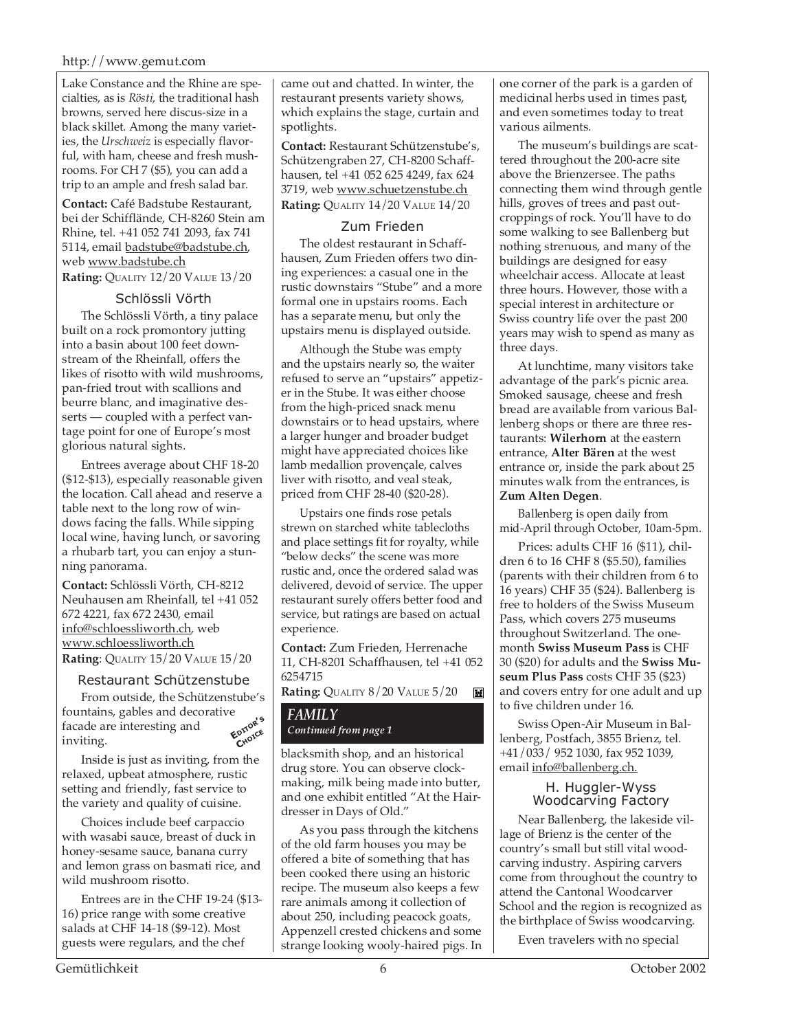#### http://www.gemut.com

Lake Constance and the Rhine are specialties, as is *Rösti*, the traditional hash browns, served here discus-size in a black skillet. Among the many varieties, the *Urschweiz* is especially flavorful, with ham, cheese and fresh mushrooms. For CH 7 (\$5), you can add a trip to an ample and fresh salad bar.

**Contact:** Café Badstube Restaurant, bei der Schifflände, CH-8260 Stein am Rhine, tel. +41 052 741 2093, fax 741 5114, email badstube@badstube.ch, web www.badstube.ch **Rating:** QUALITY 12/20 VALUE 13/20

#### Schlössli Vörth

The Schlössli Vörth, a tiny palace built on a rock promontory jutting into a basin about 100 feet downstream of the Rheinfall, offers the likes of risotto with wild mushrooms, pan-fried trout with scallions and beurre blanc, and imaginative desserts — coupled with a perfect vantage point for one of Europe's most glorious natural sights.

Entrees average about CHF 18-20 (\$12-\$13), especially reasonable given the location. Call ahead and reserve a table next to the long row of windows facing the falls. While sipping local wine, having lunch, or savoring a rhubarb tart, you can enjoy a stunning panorama.

**Contact:** Schlössli Vörth, CH-8212 Neuhausen am Rheinfall, tel +41 052 672 4221, fax 672 2430, email info@schloessliworth.ch, web www.schloessliworth.ch **Rating**: QUALITY 15/20 VALUE 15/20

#### Restaurant Schützenstube

From outside, the Schützenstube's fountains, gables and decorative<br>facade are interesting and<br>inviting facade are interesting and inviting. **CHOICE**

Inside is just as inviting, from the relaxed, upbeat atmosphere, rustic setting and friendly, fast service to the variety and quality of cuisine.

Choices include beef carpaccio with wasabi sauce, breast of duck in honey-sesame sauce, banana curry and lemon grass on basmati rice, and wild mushroom risotto.

Entrees are in the CHF 19-24 (\$13- 16) price range with some creative salads at CHF 14-18 (\$9-12). Most guests were regulars, and the chef

came out and chatted. In winter, the restaurant presents variety shows, which explains the stage, curtain and spotlights.

**Contact:** Restaurant Schützenstube's, Schützengraben 27, CH-8200 Schaffhausen, tel +41 052 625 4249, fax 624 3719, web www.schuetzenstube.ch **Rating:** QUALITY 14/20 VALUE 14/20

### Zum Frieden

The oldest restaurant in Schaffhausen, Zum Frieden offers two dining experiences: a casual one in the rustic downstairs "Stube" and a more formal one in upstairs rooms. Each has a separate menu, but only the upstairs menu is displayed outside.

Although the Stube was empty and the upstairs nearly so, the waiter refused to serve an "upstairs" appetizer in the Stube. It was either choose from the high-priced snack menu downstairs or to head upstairs, where a larger hunger and broader budget might have appreciated choices like lamb medallion provençale, calves liver with risotto, and veal steak, priced from CHF 28-40 (\$20-28).

Upstairs one finds rose petals strewn on starched white tablecloths and place settings fit for royalty, while "below decks" the scene was more rustic and, once the ordered salad was delivered, devoid of service. The upper restaurant surely offers better food and service, but ratings are based on actual experience.

**Contact:** Zum Frieden, Herrenache 11, CH-8201 Schaffhausen, tel +41 052 6254715

#### **Rating:** QUALITY 8/20 VALUE 5/20  $\mathbb{M}$

#### *FAMILY*  $Continued from page 1$

blacksmith shop, and an historical drug store. You can observe clockmaking, milk being made into butter, and one exhibit entitled "At the Hairdresser in Days of Old."

As you pass through the kitchens of the old farm houses you may be offered a bite of something that has been cooked there using an historic recipe. The museum also keeps a few rare animals among it collection of about 250, including peacock goats, Appenzell crested chickens and some strange looking wooly-haired pigs. In one corner of the park is a garden of medicinal herbs used in times past, and even sometimes today to treat various ailments.

The museum's buildings are scattered throughout the 200-acre site above the Brienzersee. The paths connecting them wind through gentle hills, groves of trees and past outcroppings of rock. You'll have to do some walking to see Ballenberg but nothing strenuous, and many of the buildings are designed for easy wheelchair access. Allocate at least three hours. However, those with a special interest in architecture or Swiss country life over the past 200 years may wish to spend as many as three days.

At lunchtime, many visitors take advantage of the park's picnic area. Smoked sausage, cheese and fresh bread are available from various Ballenberg shops or there are three restaurants: **Wilerhorn** at the eastern entrance, **Alter Bären** at the west entrance or, inside the park about 25 minutes walk from the entrances, is **Zum Alten Degen**.

Ballenberg is open daily from mid-April through October, 10am-5pm.

Prices: adults CHF 16 (\$11), children 6 to 16 CHF 8 (\$5.50), families (parents with their children from 6 to 16 years) CHF 35 (\$24). Ballenberg is free to holders of the Swiss Museum Pass, which covers 275 museums throughout Switzerland. The onemonth **Swiss Museum Pass** is CHF 30 (\$20) for adults and the **Swiss Museum Plus Pass** costs CHF 35 (\$23) and covers entry for one adult and up to five children under 16.

Swiss Open-Air Museum in Ballenberg, Postfach, 3855 Brienz, tel. +41/033/ 952 1030, fax 952 1039, email info@ballenberg.ch.

#### H. Huggler-Wyss Woodcarving Factory

Near Ballenberg, the lakeside village of Brienz is the center of the country's small but still vital woodcarving industry. Aspiring carvers come from throughout the country to attend the Cantonal Woodcarver School and the region is recognized as the birthplace of Swiss woodcarving.

Even travelers with no special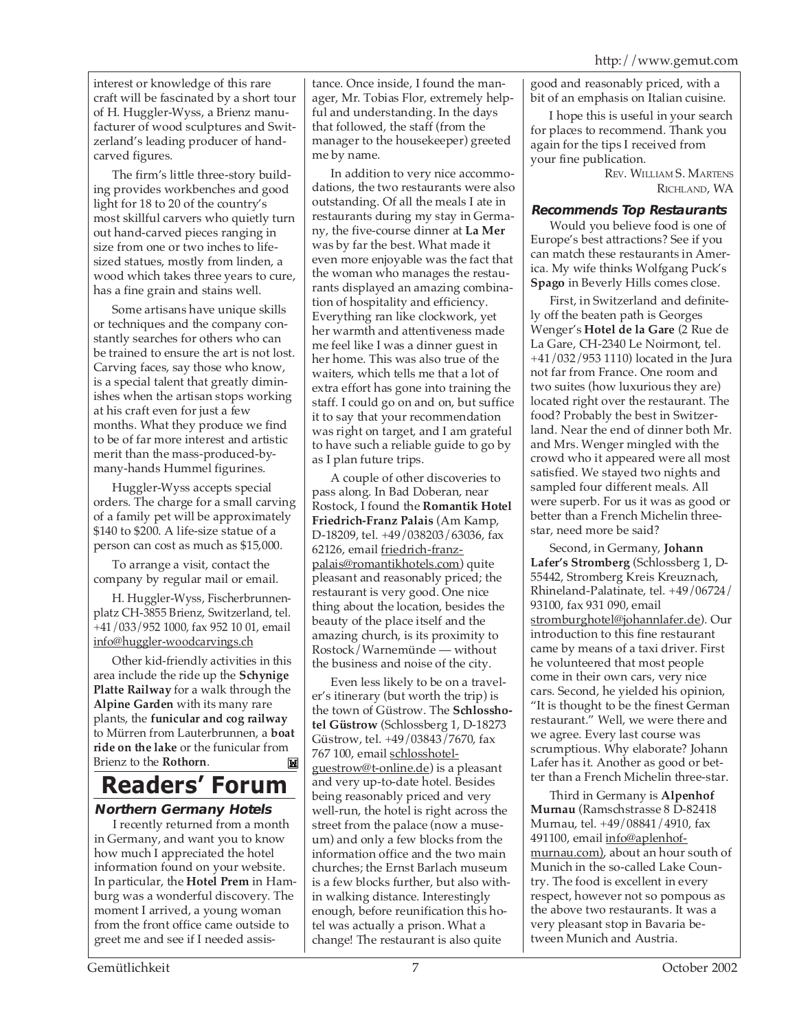interest or knowledge of this rare craft will be fascinated by a short tour of H. Huggler-Wyss, a Brienz manufacturer of wood sculptures and Switzerland's leading producer of handcarved figures.

The firm's little three-story building provides workbenches and good light for 18 to 20 of the country's most skillful carvers who quietly turn out hand-carved pieces ranging in size from one or two inches to lifesized statues, mostly from linden, a wood which takes three years to cure, has a fine grain and stains well.

Some artisans have unique skills or techniques and the company constantly searches for others who can be trained to ensure the art is not lost. Carving faces, say those who know, is a special talent that greatly diminishes when the artisan stops working at his craft even for just a few months. What they produce we find to be of far more interest and artistic merit than the mass-produced-bymany-hands Hummel figurines.

Huggler-Wyss accepts special orders. The charge for a small carving of a family pet will be approximately \$140 to \$200. A life-size statue of a person can cost as much as \$15,000.

To arrange a visit, contact the company by regular mail or email.

H. Huggler-Wyss, Fischerbrunnenplatz CH-3855 Brienz, Switzerland, tel. +41/033/952 1000, fax 952 10 01, email info@huggler-woodcarvings.ch

Other kid-friendly activities in this area include the ride up the **Schynige Platte Railway** for a walk through the **Alpine Garden** with its many rare plants, the **funicular and cog railway** to Mürren from Lauterbrunnen, a **boat ride on the lake** or the funicular from Brienz to the **Rothorn**.M

# **Readers' Forum**

# **Northern Germany Hotels**

I recently returned from a month in Germany, and want you to know how much I appreciated the hotel information found on your website. In particular, the **Hotel Prem** in Hamburg was a wonderful discovery. The moment I arrived, a young woman from the front office came outside to greet me and see if I needed assis-

tance. Once inside, I found the manager, Mr. Tobias Flor, extremely helpful and understanding. In the days that followed, the staff (from the manager to the housekeeper) greeted me by name.

In addition to very nice accommodations, the two restaurants were also outstanding. Of all the meals I ate in restaurants during my stay in Germany, the five-course dinner at **La Mer** was by far the best. What made it even more enjoyable was the fact that the woman who manages the restaurants displayed an amazing combination of hospitality and efficiency. Everything ran like clockwork, yet her warmth and attentiveness made me feel like I was a dinner guest in her home. This was also true of the waiters, which tells me that a lot of extra effort has gone into training the staff. I could go on and on, but suffice it to say that your recommendation was right on target, and I am grateful to have such a reliable guide to go by as I plan future trips.

A couple of other discoveries to pass along. In Bad Doberan, near Rostock, I found the **Romantik Hotel Friedrich-Franz Palais** (Am Kamp, D-18209, tel. +49/038203/63036, fax 62126, email friedrich-franzpalais@romantikhotels.com) quite pleasant and reasonably priced; the restaurant is very good. One nice thing about the location, besides the beauty of the place itself and the amazing church, is its proximity to Rostock/Warnemünde — without the business and noise of the city.

Even less likely to be on a traveler's itinerary (but worth the trip) is the town of Güstrow. The **Schlosshotel Güstrow** (Schlossberg 1, D-18273 Güstrow, tel. +49/03843/7670, fax 767 100, email schlosshotelguestrow@t-online.de) is a pleasant and very up-to-date hotel. Besides being reasonably priced and very well-run, the hotel is right across the street from the palace (now a museum) and only a few blocks from the information office and the two main churches; the Ernst Barlach museum is a few blocks further, but also within walking distance. Interestingly enough, before reunification this hotel was actually a prison. What a change! The restaurant is also quite

good and reasonably priced, with a bit of an emphasis on Italian cuisine.

I hope this is useful in your search for places to recommend. Thank you again for the tips I received from your fine publication.

REV. WILLIAM S. MARTENS RICHLAND, WA

## **Recommends Top Restaurants**

Would you believe food is one of Europe's best attractions? See if you can match these restaurants in America. My wife thinks Wolfgang Puck's **Spago** in Beverly Hills comes close.

First, in Switzerland and definitely off the beaten path is Georges Wenger's **Hotel de la Gare** (2 Rue de La Gare, CH-2340 Le Noirmont, tel. +41/032/953 1110) located in the Jura not far from France. One room and two suites (how luxurious they are) located right over the restaurant. The food? Probably the best in Switzerland. Near the end of dinner both Mr. and Mrs. Wenger mingled with the crowd who it appeared were all most satisfied. We stayed two nights and sampled four different meals. All were superb. For us it was as good or better than a French Michelin threestar, need more be said?

Second, in Germany, **Johann Lafer's Stromberg** (Schlossberg 1, D-55442, Stromberg Kreis Kreuznach, Rhineland-Palatinate, tel. +49/06724/ 93100, fax 931 090, email stromburghotel@johannlafer.de). Our introduction to this fine restaurant came by means of a taxi driver. First he volunteered that most people come in their own cars, very nice cars. Second, he yielded his opinion, "It is thought to be the finest German restaurant." Well, we were there and we agree. Every last course was scrumptious. Why elaborate? Johann Lafer has it. Another as good or better than a French Michelin three-star.

Third in Germany is **Alpenhof Murnau** (Ramschstrasse 8 D-82418 Murnau, tel. +49/08841/4910, fax 491100, email info@aplenhofmurnau.com), about an hour south of Munich in the so-called Lake Country. The food is excellent in every respect, however not so pompous as the above two restaurants. It was a very pleasant stop in Bavaria between Munich and Austria.